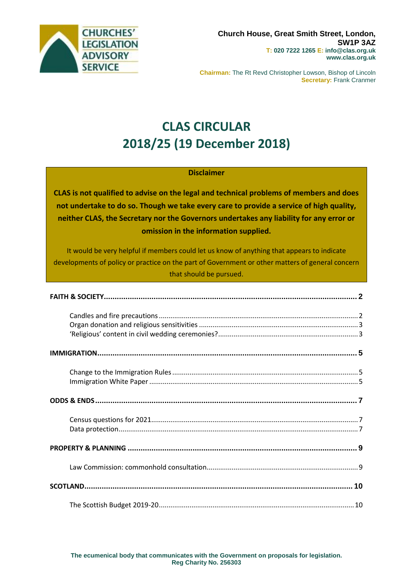

**Chairman:** The Rt Revd Christopher Lowson, Bishop of Lincoln **Secretary:** Frank Cranmer

# **CLAS CIRCULAR 2018/25 (19 December 2018)**

### **Disclaimer**

**CLAS is not qualified to advise on the legal and technical problems of members and does not undertake to do so. Though we take every care to provide a service of high quality, neither CLAS, the Secretary nor the Governors undertakes any liability for any error or omission in the information supplied.**

It would be very helpful if members could let us know of anything that appears to indicate developments of policy or practice on the part of Government or other matters of general concern that should be pursued.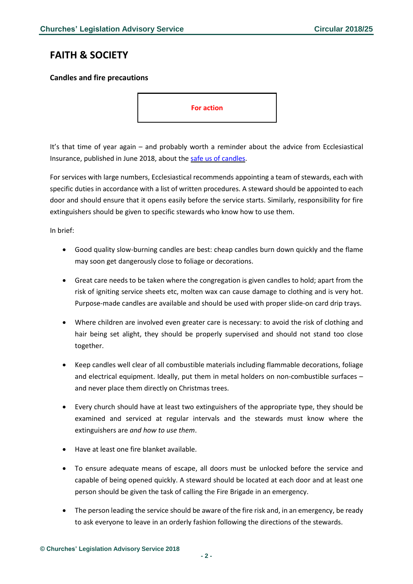### <span id="page-1-0"></span>**FAITH & SOCIETY**

### <span id="page-1-1"></span>**Candles and fire precautions**

**For action**

It's that time of year again – and probably worth a reminder about the advice from Ecclesiastical Insurance, published in June 2018, about the safe us of [candles.](https://www.ecclesiastical.com/risk-management/safe-use-of-candles/)

For services with large numbers, Ecclesiastical recommends appointing a team of stewards, each with specific duties in accordance with a list of written procedures. A steward should be appointed to each door and should ensure that it opens easily before the service starts. Similarly, responsibility for fire extinguishers should be given to specific stewards who know how to use them.

In brief:

- Good quality slow-burning candles are best: cheap candles burn down quickly and the flame may soon get dangerously close to foliage or decorations.
- Great care needs to be taken where the congregation is given candles to hold; apart from the risk of igniting service sheets etc, molten wax can cause damage to clothing and is very hot. Purpose-made candles are available and should be used with proper slide-on card drip trays.
- Where children are involved even greater care is necessary: to avoid the risk of clothing and hair being set alight, they should be properly supervised and should not stand too close together.
- Keep candles well clear of all combustible materials including flammable decorations, foliage and electrical equipment. Ideally, put them in metal holders on non-combustible surfaces – and never place them directly on Christmas trees.
- Every church should have at least two extinguishers of the appropriate type, they should be examined and serviced at regular intervals and the stewards must know where the extinguishers are *and how to use them*.
- Have at least one fire blanket available.
- To ensure adequate means of escape, all doors must be unlocked before the service and capable of being opened quickly. A steward should be located at each door and at least one person should be given the task of calling the Fire Brigade in an emergency.
- The person leading the service should be aware of the fire risk and, in an emergency, be ready to ask everyone to leave in an orderly fashion following the directions of the stewards.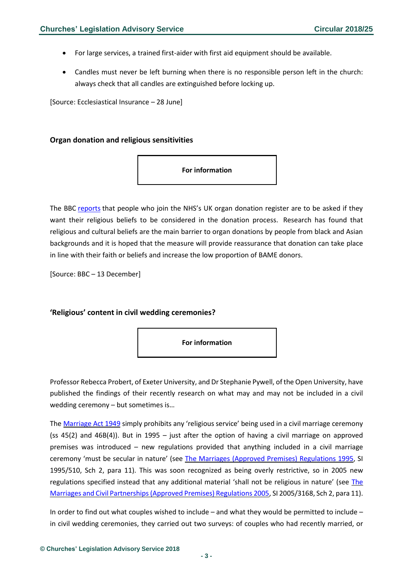- For large services, a trained first-aider with first aid equipment should be available.
- Candles must never be left burning when there is no responsible person left in the church: always check that all candles are extinguished before locking up.

[Source: Ecclesiastical Insurance – 28 June]

#### <span id="page-2-0"></span>**Organ donation and religious sensitivities**



The BBC [reports](https://www.bbc.co.uk/news/health-46538926) that people who join the NHS's UK organ donation register are to be asked if they want their religious beliefs to be considered in the donation process. Research has found that religious and cultural beliefs are the main barrier to organ donations by people from black and Asian backgrounds and it is hoped that the measure will provide reassurance that donation can take place in line with their faith or beliefs and increase the low proportion of BAME donors.

[Source: BBC – 13 December]

#### <span id="page-2-1"></span>**'Religious' content in civil wedding ceremonies?**



Professor Rebecca Probert, of Exeter University, and Dr Stephanie Pywell, of the Open University, have published the findings of their recently research on what may and may not be included in a civil wedding ceremony – but sometimes is…

The [Marriage](https://www.legislation.gov.uk/ukpga/Geo6/12-13-14/76/contents) Act 1949 simply prohibits any 'religious service' being used in a civil marriage ceremony (ss 45(2) and 46B(4)). But in 1995 – just after the option of having a civil marriage on approved premises was introduced – new regulations provided that anything included in a civil marriage ceremony 'must be secular in nature' (see The Marriages (Approved Premises) [Regulations](https://www.legislation.gov.uk/uksi/1995/510/contents/made) 1995, SI 1995/510, Sch 2, para 11). This was soon recognized as being overly restrictive, so in 2005 new regulations specified instead that any additional material 'shall not be religious in nature' (see [The](https://www.legislation.gov.uk/uksi/2005/3168/contents/made) Marriages and Civil [Partnerships\(Approved](https://www.legislation.gov.uk/uksi/2005/3168/contents/made) Premises) Regulations 2005, SI 2005/3168, Sch 2, para 11).

In order to find out what couples wished to include – and what they would be permitted to include – in civil wedding ceremonies, they carried out two surveys: of couples who had recently married, or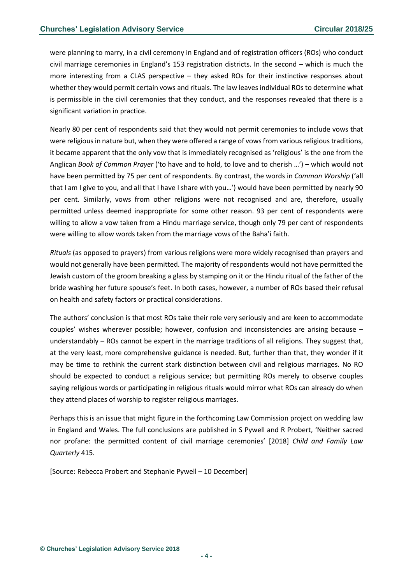were planning to marry, in a civil ceremony in England and of registration officers (ROs) who conduct civil marriage ceremonies in England's 153 registration districts. In the second – which is much the more interesting from a CLAS perspective – they asked ROs for their instinctive responses about whether they would permit certain vows and rituals. The law leaves individual ROs to determine what is permissible in the civil ceremonies that they conduct, and the responses revealed that there is a significant variation in practice.

Nearly 80 per cent of respondents said that they would not permit ceremonies to include vows that were religious in nature but, when they were offered a range of vows from various religious traditions, it became apparent that the only vow that is immediately recognised as 'religious' is the one from the Anglican *Book of Common Prayer* ('to have and to hold, to love and to cherish …') – which would not have been permitted by 75 per cent of respondents. By contrast, the words in *Common Worship* ('all that I am I give to you, and all that I have I share with you…') would have been permitted by nearly 90 per cent. Similarly, vows from other religions were not recognised and are, therefore, usually permitted unless deemed inappropriate for some other reason. 93 per cent of respondents were willing to allow a vow taken from a Hindu marriage service, though only 79 per cent of respondents were willing to allow words taken from the marriage vows of the Baha'i faith.

*Rituals* (as opposed to prayers) from various religions were more widely recognised than prayers and would not generally have been permitted. The majority of respondents would not have permitted the Jewish custom of the groom breaking a glass by stamping on it or the Hindu ritual of the father of the bride washing her future spouse's feet. In both cases, however, a number of ROs based their refusal on health and safety factors or practical considerations.

The authors' conclusion is that most ROs take their role very seriously and are keen to accommodate couples' wishes wherever possible; however, confusion and inconsistencies are arising because – understandably – ROs cannot be expert in the marriage traditions of all religions. They suggest that, at the very least, more comprehensive guidance is needed. But, further than that, they wonder if it may be time to rethink the current stark distinction between civil and religious marriages. No RO should be expected to conduct a religious service; but permitting ROs merely to observe couples saying religious words or participating in religious rituals would mirror what ROs can already do when they attend places of worship to register religious marriages.

Perhaps this is an issue that might figure in the forthcoming Law Commission project on wedding law in England and Wales. The full conclusions are published in S Pywell and R Probert, 'Neither sacred nor profane: the permitted content of civil marriage ceremonies' [2018] *Child and Family Law Quarterly* 415.

[Source: Rebecca Probert and Stephanie Pywell – 10 December]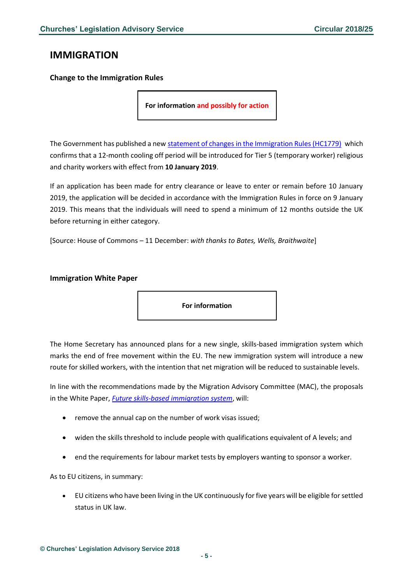### <span id="page-4-0"></span>**IMMIGRATION**

<span id="page-4-1"></span>**Change to the Immigration Rules** 

**For information and possibly for action**

The Government has published a new [statement of changes in the Immigration Rules \(HC1779\)](https://dmtrk.net/1Y95-6184F-EQ22GV-3ERNPD-1/c.aspx) which confirms that a 12-month cooling off period will be introduced for Tier 5 (temporary worker) religious and charity workers with effect from **10 January 2019**.

If an application has been made for entry clearance or leave to enter or remain before 10 January 2019, the application will be decided in accordance with the Immigration Rules in force on 9 January 2019. This means that the individuals will need to spend a minimum of 12 months outside the UK before returning in either category.

[Source: House of Commons – 11 December: *with thanks to Bates, Wells, Braithwaite*]

#### <span id="page-4-2"></span>**Immigration White Paper**

**For information**

The Home Secretary has announced plans for a new single, skills-based immigration system which marks the end of free movement within the EU. The new immigration system will introduce a new route for skilled workers, with the intention that net migration will be reduced to sustainable levels.

In line with the recommendations made by the Migration Advisory Committee (MAC), the proposals in the White Paper, *[Future skills-based immigration system](https://www.gov.uk/government/publications/the-uks-future-skills-based-immigration-system/future-skills-based-immigration-system-executive-summary)*, will:

- remove the annual cap on the number of work visas issued;
- widen the skills threshold to include people with qualifications equivalent of A levels; and
- end the requirements for labour market tests by employers wanting to sponsor a worker.

As to EU citizens, in summary:

• EU citizens who have been living in the UK continuously for five years will be eligible for settled status in UK law.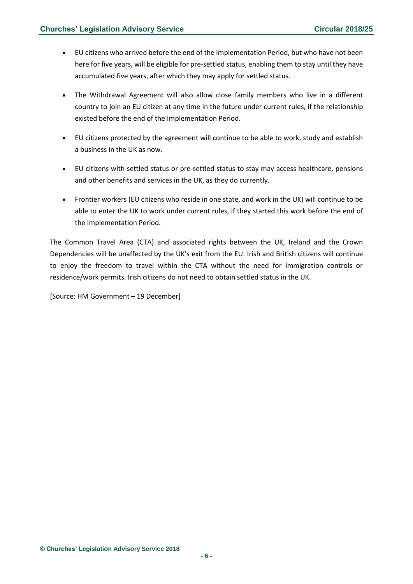- EU citizens who arrived before the end of the Implementation Period, but who have not been here for five years, will be eligible for pre-settled status, enabling them to stay until they have accumulated five years, after which they may apply for settled status.
- The Withdrawal Agreement will also allow close family members who live in a different country to join an EU citizen at any time in the future under current rules, if the relationship existed before the end of the Implementation Period.
- EU citizens protected by the agreement will continue to be able to work, study and establish a business in the UK as now.
- EU citizens with settled status or pre-settled status to stay may access healthcare, pensions and other benefits and services in the UK, as they do currently.
- Frontier workers (EU citizens who reside in one state, and work in the UK) will continue to be able to enter the UK to work under current rules, if they started this work before the end of the Implementation Period.

The Common Travel Area (CTA) and associated rights between the UK, Ireland and the Crown Dependencies will be unaffected by the UK's exit from the EU. Irish and British citizens will continue to enjoy the freedom to travel within the CTA without the need for immigration controls or residence/work permits. Irish citizens do not need to obtain settled status in the UK.

[Source: HM Government – 19 December]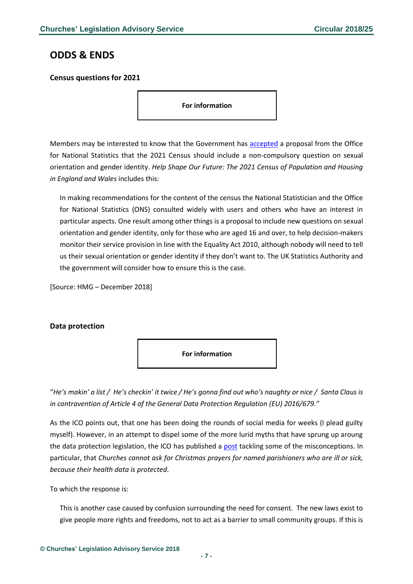### <span id="page-6-0"></span>**ODDS & ENDS**

#### <span id="page-6-1"></span>**Census questions for 2021**

**For information**

Members may be interested to know that the Government has [accepted](https://assets.publishing.service.gov.uk/government/uploads/system/uploads/attachment_data/file/765089/Census2021WhitePaper.pdf) a proposal from the Office for National Statistics that the 2021 Census should include a non-compulsory question on sexual orientation and gender identity. *Help Shape Our Future: The 2021 Census of Population and Housing in England and Wales* includes this:

In making recommendations for the content of the census the National Statistician and the Office for National Statistics (ONS) consulted widely with users and others who have an interest in particular aspects. One result among other things is a proposal to include new questions on sexual orientation and gender identity, only for those who are aged 16 and over, to help decision-makers monitor their service provision in line with the Equality Act 2010, although nobody will need to tell us their sexual orientation or gender identity if they don't want to. The UK Statistics Authority and the government will consider how to ensure this is the case.

[Source: HMG – December 2018]

### <span id="page-6-2"></span>**Data protection**

**For information**

"*He's makin' a list / He's checkin' it twice / He's gonna find out who's naughty or nice / Santa Claus is in contravention of Article 4 of the General Data Protection Regulation (EU) 2016/679."*

As the ICO points out, that one has been doing the rounds of social media for weeks (I plead guilty myself). However, in an attempt to dispel some of the more lurid myths that have sprung up aroung the data protection legislation, the ICO has published a [post](https://ico.org.uk/about-the-ico/news-and-events/news-and-blogs/2018/12/sleigh-ing-the-christmas-gdpr-myths/) tackling some of the misconceptions. In particular, that *Churches cannot ask for Christmas prayers for named parishioners who are ill or sick, because their health data is protected*.

To which the response is:

This is another case caused by confusion surrounding the need for consent. The new laws exist to give people more rights and freedoms, not to act as a barrier to small community groups. If this is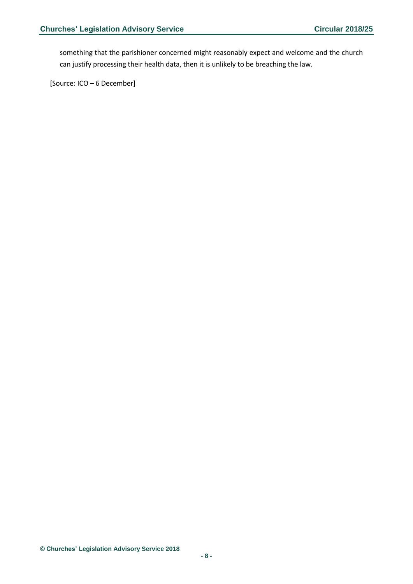something that the parishioner concerned might reasonably expect and welcome and the church can justify processing their health data, then it is unlikely to be breaching the law.

[Source: ICO – 6 December]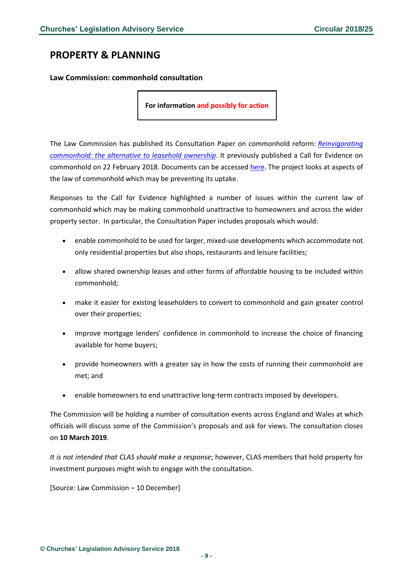### <span id="page-8-0"></span>**PROPERTY & PLANNING**

#### <span id="page-8-1"></span>**Law Commission: commonhold consultation**

**For information and possibly for action**

The Law Commission has published its Consultation Paper on commonhold reform: *[Reinvigorating](https://s3-eu-west-2.amazonaws.com/lawcom-prod-storage-11jsxou24uy7q/uploads/2018/12/181207-Commonhold-CP-WEB-VERSION.pdf)  [commonhold: the alternative to leasehold ownership](https://s3-eu-west-2.amazonaws.com/lawcom-prod-storage-11jsxou24uy7q/uploads/2018/12/181207-Commonhold-CP-WEB-VERSION.pdf)*. It previously published a Call for Evidence on commonhold on 22 February 2018. Documents can be accessed [here.](https://bit.ly/2LaL1AI) The project looks at aspects of the law of commonhold which may be preventing its uptake.

Responses to the Call for Evidence highlighted a number of issues within the current law of commonhold which may be making commonhold unattractive to homeowners and across the wider property sector. In particular, the Consultation Paper includes proposals which would:

- enable commonhold to be used for larger, mixed-use developments which accommodate not only residential properties but also shops, restaurants and leisure facilities;
- allow shared ownership leases and other forms of affordable housing to be included within commonhold;
- make it easier for existing leaseholders to convert to commonhold and gain greater control over their properties;
- improve mortgage lenders' confidence in commonhold to increase the choice of financing available for home buyers;
- provide homeowners with a greater say in how the costs of running their commonhold are met; and
- enable homeowners to end unattractive long-term contracts imposed by developers.

The Commission will be holding a number of consultation events across England and Wales at which officials will discuss some of the Commission's proposals and ask for views. The consultation closes on **10 March 2019**.

*It is not intended that CLAS should make a response*; however, CLAS members that hold property for investment purposes might wish to engage with the consultation.

[Source: Law Commission – 10 December]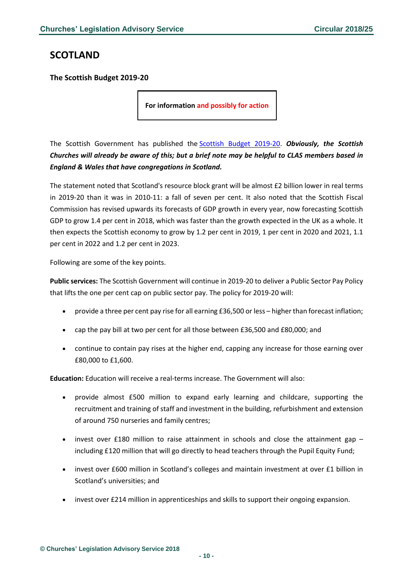### <span id="page-9-0"></span>**SCOTLAND**

### <span id="page-9-1"></span>**The Scottish Budget 2019-20**

**For information and possibly for action**

The Scottish Government has published the Scottish Budget [2019-20.](https://www.gov.scot/binaries/content/documents/govscot/publications/publication/2018/12/scottish-budget-2019-20/documents/scottish-budget-2019-20/scottish-budget-2019-20/govscot%3Adocument?inline=true) *Obviously, the Scottish* Churches will already be aware of this; but a brief note may be helpful to CLAS members based in *England & Wales that have congregations in Scotland.*

The statement noted that Scotland's resource block grant will be almost £2 billion lower in real terms in 2019-20 than it was in 2010-11: a fall of seven per cent. It also noted that the Scottish Fiscal Commission has revised upwards its forecasts of GDP growth in every year, now forecasting Scottish GDP to grow 1.4 per cent in 2018, which was faster than the growth expected in the UK as a whole. It then expects the Scottish economy to grow by 1.2 per cent in 2019, 1 per cent in 2020 and 2021, 1.1 per cent in 2022 and 1.2 per cent in 2023.

Following are some of the key points.

**Public services:** The Scottish Government will continue in 2019-20 to deliver a Public Sector Pay Policy that lifts the one per cent cap on public sector pay. The policy for 2019-20 will:

- provide a three per cent pay rise for all earning £36,500 or less higher than forecast inflation;
- cap the pay bill at two per cent for all those between £36,500 and £80,000; and
- continue to contain pay rises at the higher end, capping any increase for those earning over £80,000 to £1,600.

**Education:** Education will receive a real-terms increase. The Government will also:

- provide almost £500 million to expand early learning and childcare, supporting the recruitment and training of staff and investment in the building, refurbishment and extension of around 750 nurseries and family centres;
- invest over £180 million to raise attainment in schools and close the attainment gap including £120 million that will go directly to head teachers through the Pupil Equity Fund;
- invest over £600 million in Scotland's colleges and maintain investment at over £1 billion in Scotland's universities; and
- invest over £214 million in apprenticeships and skills to support their ongoing expansion.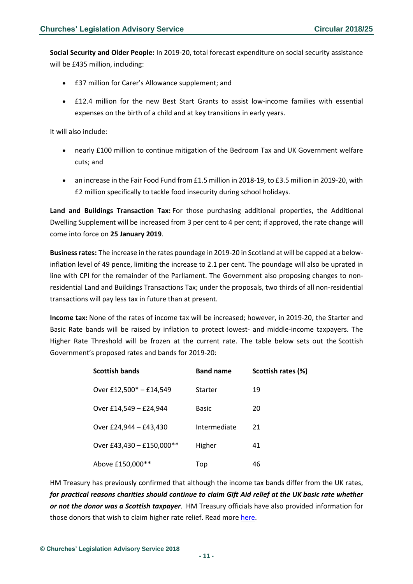**Social Security and Older People:** In 2019-20, total forecast expenditure on social security assistance will be £435 million, including:

- £37 million for Carer's Allowance supplement; and
- £12.4 million for the new Best Start Grants to assist low-income families with essential expenses on the birth of a child and at key transitions in early years.

It will also include:

- nearly £100 million to continue mitigation of the Bedroom Tax and UK Government welfare cuts; and
- an increase in the Fair Food Fund from £1.5 million in 2018-19, to £3.5 million in 2019-20, with £2 million specifically to tackle food insecurity during school holidays.

**Land and Buildings Transaction Tax:** For those purchasing additional properties, the Additional Dwelling Supplement will be increased from 3 per cent to 4 per cent; if approved, the rate change will come into force on **25 January 2019**.

**Businessrates:** The increase in the rates poundage in 2019-20 in Scotland at will be capped at a belowinflation level of 49 pence, limiting the increase to 2.1 per cent. The poundage will also be uprated in line with CPI for the remainder of the Parliament. The Government also proposing changes to nonresidential Land and Buildings Transactions Tax; under the proposals, two thirds of all non-residential transactions will pay less tax in future than at present.

**Income tax:** None of the rates of income tax will be increased; however, in 2019-20, the Starter and Basic Rate bands will be raised by inflation to protect lowest- and middle-income taxpayers. The Higher Rate Threshold will be frozen at the current rate. The table below sets out the Scottish Government's proposed rates and bands for 2019-20:

| <b>Scottish bands</b>     | <b>Band name</b> | Scottish rates (%) |
|---------------------------|------------------|--------------------|
| Over £12,500* - £14,549   | Starter          | 19                 |
| Over £14,549 – £24,944    | Basic            | 20                 |
| Over £24,944 – £43,430    | Intermediate     | 21                 |
| Over £43,430 - £150,000** | Higher           | 41                 |
| Above £150,000**          | Top              | 46                 |

HM Treasury has previously confirmed that although the income tax bands differ from the UK rates, *for practical reasons charities should continue to claim Gift Aid relief at the UK basic rate whether or not the donor was a Scottish taxpayer*. HM Treasury officials have also provided information for those donors that wish to claim higher rate relief. Read more [here.](https://www.charitytaxgroup.org.uk/news-post/2017/scottish-draft-budget-2018-19/)